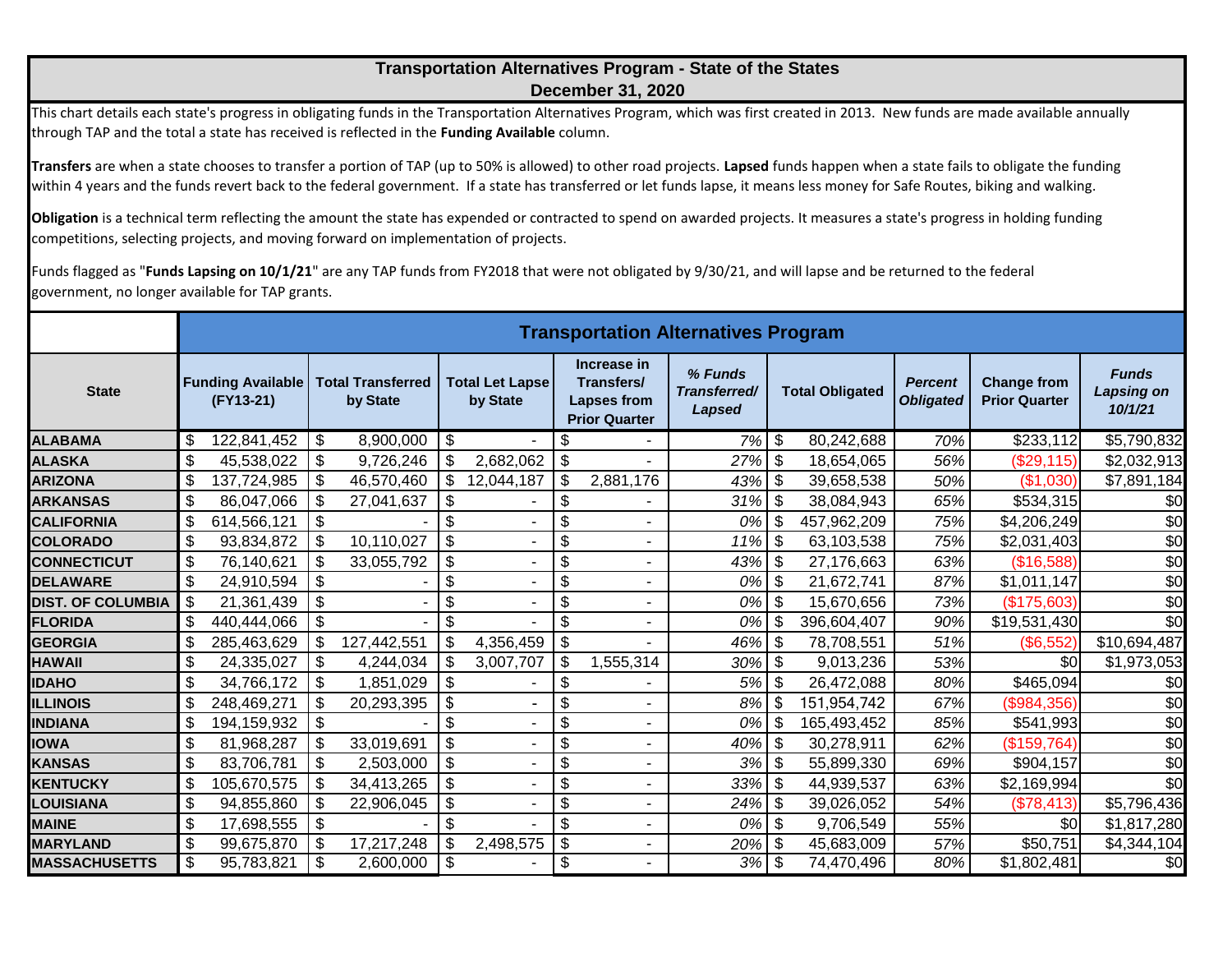## **Transportation Alternatives Program - State of the States December 31, 2020**

This chart details each state's progress in obligating funds in the Transportation Alternatives Program, which was first created in 2013. New funds are made available annually through TAP and the total a state has received is reflected in the **Funding Available** column.

**Transfers** are when a state chooses to transfer a portion of TAP (up to 50% is allowed) to other road projects. **Lapsed** funds happen when a state fails to obligate the funding within 4 years and the funds revert back to the federal government. If a state has transferred or let funds lapse, it means less money for Safe Routes, biking and walking.

**Obligation** is a technical term reflecting the amount the state has expended or contracted to spend on awarded projects. It measures a state's progress in holding funding competitions, selecting projects, and moving forward on implementation of projects.

Funds flagged as "**Funds Lapsing on 10/1/21**" are any TAP funds from FY2018 that were not obligated by 9/30/21, and will lapse and be returned to the federal government, no longer available for TAP grants.

|                          | <b>Transportation Alternatives Program</b> |                                       |                           |                                      |                            |                                    |                           |                                                                  |                                   |                           |             |                                    |                                            |                                              |
|--------------------------|--------------------------------------------|---------------------------------------|---------------------------|--------------------------------------|----------------------------|------------------------------------|---------------------------|------------------------------------------------------------------|-----------------------------------|---------------------------|-------------|------------------------------------|--------------------------------------------|----------------------------------------------|
| <b>State</b>             |                                            | <b>Funding Available</b><br>(FY13-21) |                           | <b>Total Transferred</b><br>by State |                            | <b>Total Let Lapse</b><br>by State |                           | Increase in<br>Transfers/<br>Lapses from<br><b>Prior Quarter</b> | % Funds<br>Transferred/<br>Lapsed | <b>Total Obligated</b>    |             | <b>Percent</b><br><b>Obligated</b> | <b>Change from</b><br><b>Prior Quarter</b> | <b>Funds</b><br><b>Lapsing on</b><br>10/1/21 |
| ALABAMA                  | \$                                         | 122,841,452                           | \$                        | 8,900,000                            | \$                         |                                    | \$                        |                                                                  | 7%                                | $\boldsymbol{\mathsf{S}}$ | 80,242,688  | 70%                                | \$233,112                                  | \$5,790,832                                  |
| <b>ALASKA</b>            | \$                                         | 45,538,022                            | \$                        | 9,726,246                            | \$                         | 2,682,062                          | \$                        |                                                                  | 27%                               | $\sqrt{3}$                | 18,654,065  | 56%                                | (\$29,115)                                 | \$2,032,913                                  |
| <b>ARIZONA</b>           | $\boldsymbol{\mathsf{\$}}$                 | 137,724,985                           | \$                        | 46,570,460                           | \$                         | 12,044,187                         | \$                        | 2,881,176                                                        | 43%                               | -\$                       | 39,658,538  | 50%                                | (\$1,030)                                  | \$7,891,184                                  |
| <b>ARKANSAS</b>          | \$                                         | 86,047,066                            | \$                        | 27,041,637                           | $\boldsymbol{\mathsf{\$}}$ |                                    | \$                        |                                                                  | 31%                               | \$                        | 38,084,943  | 65%                                | \$534,315                                  | \$0                                          |
| <b>CALIFORNIA</b>        | \$                                         | 614,566,121                           | \$                        |                                      | \$                         |                                    | \$                        | $\overline{\phantom{0}}$                                         | 0%                                | \$                        | 457,962,209 | 75%                                | \$4,206,249                                | \$0                                          |
| <b>COLORADO</b>          | $\boldsymbol{\mathsf{S}}$                  | 93,834,872                            | \$                        | 10,110,027                           | \$                         |                                    | \$                        |                                                                  | 11%                               | \$                        | 63,103,538  | 75%                                | \$2,031,403                                | \$0                                          |
| <b>CONNECTICUT</b>       | $\boldsymbol{\mathsf{S}}$                  | 76,140,621                            | $\boldsymbol{\mathsf{S}}$ | 33,055,792                           | \$                         |                                    | \$                        |                                                                  | 43%                               | $\sqrt{3}$                | 27,176,663  | 63%                                | (\$16,588)                                 | \$0                                          |
| <b>DELAWARE</b>          | \$                                         | 24,910,594                            | \$                        |                                      | \$                         |                                    | \$                        |                                                                  | 0%                                | \$                        | 21,672,741  | 87%                                | \$1,011,147                                | \$0                                          |
| <b>DIST. OF COLUMBIA</b> | \$                                         | 21,361,439                            | \$                        |                                      | \$                         |                                    | \$                        |                                                                  | 0%                                | \$                        | 15,670,656  | 73%                                | (\$175,603)                                | \$0                                          |
| <b>FLORIDA</b>           | $\boldsymbol{\mathsf{S}}$                  | 440,444,066                           | $\frac{1}{2}$             |                                      | \$                         |                                    | \$                        |                                                                  | 0%                                | \$                        | 396,604,407 | 90%                                | \$19,531,430                               | \$0                                          |
| <b>GEORGIA</b>           | \$                                         | 285,463,629                           | \$                        | 127,442,551                          | \$                         | 4,356,459                          | \$                        |                                                                  | 46%                               | \$                        | 78,708,551  | 51%                                | (\$6,552)                                  | \$10,694,487                                 |
| HAWAII                   | \$                                         | 24,335,027                            | \$                        | 4,244,034                            | \$                         | 3,007,707                          | \$                        | 1,555,314                                                        | 30%                               | -\$                       | 9,013,236   | 53%                                | \$0                                        | \$1,973,053                                  |
| <b>IDAHO</b>             | \$                                         | 34,766,172                            | $\boldsymbol{\mathsf{S}}$ | 1,851,029                            | \$                         |                                    | $\boldsymbol{\mathsf{S}}$ |                                                                  | 5%                                | $\boldsymbol{\mathsf{S}}$ | 26,472,088  | 80%                                | \$465,094                                  | \$0                                          |
| <b>ILLINOIS</b>          | \$                                         | 248,469,271                           | \$                        | 20,293,395                           | \$                         |                                    | \$                        |                                                                  | 8%                                | \$                        | 151,954,742 | 67%                                | (\$984,356)                                | \$0                                          |
| <b>INDIANA</b>           | \$                                         | 194,159,932                           | $\boldsymbol{\mathsf{S}}$ |                                      | \$                         |                                    | \$                        | ٠                                                                | 0%                                | \$                        | 165,493,452 | 85%                                | \$541,993                                  | \$0                                          |
| <b>IOWA</b>              | \$                                         | 81,968,287                            | \$                        | 33,019,691                           | \$                         |                                    | \$                        |                                                                  | 40%                               | $\boldsymbol{\mathsf{S}}$ | 30,278,911  | 62%                                | (\$159,764)                                | \$0                                          |
| <b>KANSAS</b>            | $\boldsymbol{\mathsf{S}}$                  | 83,706,781                            | \$                        | 2,503,000                            | \$                         |                                    | \$                        |                                                                  | 3%                                | \$                        | 55,899,330  | 69%                                | \$904,157                                  | \$0                                          |
| <b>KENTUCKY</b>          | \$                                         | 105,670,575                           | \$                        | 34,413,265                           | \$                         |                                    | \$                        | $\blacksquare$                                                   | 33%                               | $\sqrt{3}$                | 44,939,537  | 63%                                | \$2,169,994                                | \$0                                          |
| LOUISIANA                | \$                                         | 94,855,860                            |                           | 22,906,045                           | \$                         |                                    | \$                        |                                                                  | $24\%$ \$                         |                           | 39,026,052  | 54%                                | (\$78,413)                                 | \$5,796,436                                  |
| <b>MAINE</b>             | $\boldsymbol{\mathsf{S}}$                  | 17,698,555                            | $\frac{1}{2}$             |                                      | \$                         |                                    | \$                        | $\overline{\phantom{a}}$                                         | 0%                                | \$                        | 9,706,549   | 55%                                | \$0                                        | \$1,817,280                                  |
| <b>MARYLAND</b>          | \$                                         | 99,675,870                            | \$                        | 17,217,248                           | $\boldsymbol{\mathsf{\$}}$ | 2,498,575                          | \$                        |                                                                  | 20%                               | \$                        | 45,683,009  | 57%                                | \$50,751                                   | \$4,344,104                                  |
| <b>MASSACHUSETTS</b>     | \$                                         | 95,783,821                            | \$                        | 2,600,000                            | \$                         |                                    | \$                        |                                                                  | $\overline{3\%}$ \$               |                           | 74,470,496  | 80%                                | $\overline{31,802,481}$                    | \$0                                          |